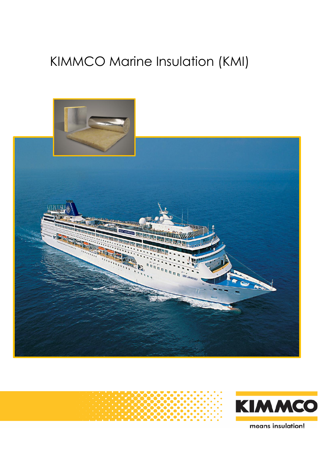# KIMMCO Marine Insulation (KMI)





means insulation!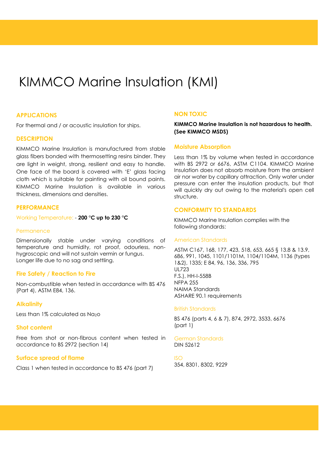# KIMMCO Marine Insulation (KMI)

# **APPLICATIONS**

For thermal and / or acoustic insulation for ships.

# **DESCRIPTION**

KIMMCO Marine Insulation is manufactured from stable glass fibers bonded with thermosetting resins binder. They are light in weight, strong, resilient and easy to handle. One face of the board is covered with 'E' glass facing cloth which is suitable for painting with oil bound paints. KIMMCO Marine Insulation is available in various thickness, dimensions and densities.

# **PERFORMANCE**

Working Temperature: - **200 °C up to 230 °C**

# **Permanence**

Dimensionally stable under varying conditions of temperature and humidity, rot proof, odourless, nonhygroscopic and will not sustain vermin or fungus. Longer life due to no sag and settling.

# **Fire Safety / Reaction to Fire**

Non-combustible when tested in accordance with BS 476 (Part 4), ASTM E84, 136.

# **Alkalinity**

Less than 1% calculated as Na2o

# **Shot content**

Free from shot or non-fibrous content when tested in accordance to BS 2972 (section 14)

# **Surface spread of flame**

Class 1 when tested in accordance to BS 476 (part 7)

# **NON TOXIC**

**KIMMCO Marine Insulation is not hazardous to health. (See KIMMCO MSDS)**

# **Moisture Absorption**

Less than 1% by volume when tested in accordance with BS 2972 or 6676, ASTM C1104. KIMMCO Marine Insulation does not absorb moisture from the ambient air nor water by capillary attraction. Only water under pressure can enter the insulation products, but that will quickly dry out owing to the material's open cell structure.

# **CONFORMITY TO STANDARDS**

KIMMCO Marine Insulation complies with the following standards:

# American Standards

ASTM C167, 168, 177, 423, 518, 653, 665 § 13.8 & 13.9, 686, 991, 1045, 1101/1101M, 1104/1104M, 1136 (types 1&2), 1335; E 84, 96, 136, 336, 795 UL723 F.S.), HH-I-558B NFPA 255 NAIMA Standards ASHARE 90.1 requirements

#### British Standards

BS 476 (parts 4, 6 & 7), 874, 2972, 3533, 6676 (part 1)

#### German Standards DIN 52612

#### ISO 354, 8301, 8302, 9229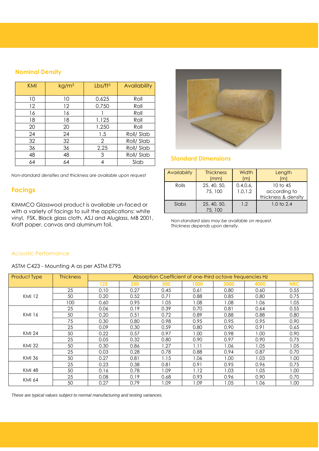# **Nominal Density**

| KMI | kg/m <sup>3</sup> | Lbs/ft <sup>3</sup> | Availability |
|-----|-------------------|---------------------|--------------|
| 10  | 10                | 0.625               | Roll         |
| 12  | 12                | 0.750               | Roll         |
| 16  | 16                |                     | Roll         |
| 18  | 18                | 1.125               | Roll         |
| 20  | 20                | 1.250               | Roll         |
| 24  | 24                | 1.5                 | Roll/Slab    |
| 32  | 32                | 2                   | Roll/Slab    |
| 36  | 36                | 2.25                | Roll/Slab    |
| 48  | 48                | 3                   | Roll/Slab    |
| 64  | 64                | 4                   | Slab         |

*Non-standard densities and thickness are available upon request*

# **Facings**

KIMMCO Glasswool product is available un-faced or with a variety of facings to suit the applications: white vinyl, FSK, Black glass cloth, ASJ and Aluglass, MB 2001, Kraft paper, canvas and aluminum foil.



# **Standard Dimensions**

| <b>Availability</b> | <b>Thickness</b><br>(mm) | Width<br>m            | Length<br>(m)                                              |
|---------------------|--------------------------|-----------------------|------------------------------------------------------------|
| Rolls               | 25, 40, 50,<br>75, 100   | 0.4, 0.6,<br>1.0, 1.2 | $10 \text{ to } 45$<br>according to<br>thickness & density |
| Slabs               | 25, 40, 50,<br>75, 100   | 1.2                   | $1.0 \text{ to } 2.4$                                      |

*Non-standard sizes may be available on request. Thickness depends upon density.*

# Acoustic Performance

ASTM C423 - Mounting A as per ASTM E795

| <b>Product Type</b>                                                                                | <b>Thickness</b> | Absorption Coefficient of one-third octave frequencies Hz |      |      |      |       |      |            |  |  |
|----------------------------------------------------------------------------------------------------|------------------|-----------------------------------------------------------|------|------|------|-------|------|------------|--|--|
|                                                                                                    |                  | 125                                                       | 250  | 500  | 1000 | 2000  | 4000 | <b>NRC</b> |  |  |
|                                                                                                    | 25               | 0.10                                                      | 0.27 | 0.45 | 0.61 | 0.80  | 0.60 | 0.55       |  |  |
| <b>KMI 12</b>                                                                                      | 50               | 0.20                                                      | 0.52 | 0.71 | 0.88 | 0.85  | 0.80 | 0.75       |  |  |
| <b>KMI 16</b><br><b>KMI 24</b><br><b>KMI 32</b><br><b>KMI 36</b><br><b>KMI 48</b><br><b>KMI 64</b> | 100              | 0.60                                                      | 0.95 | 1.05 | 1.08 | 80.1  | 1.06 | 1.05       |  |  |
|                                                                                                    | 25               | 0.06                                                      | 0.19 | 0.39 | 0.70 | 0.81  | 0.64 | 0.55       |  |  |
|                                                                                                    | 50               | 0.20                                                      | 0.51 | 0.72 | 0.89 | 0.88  | 0.88 | 0.80       |  |  |
|                                                                                                    | 75               | 0.30                                                      | 0.80 | 0.98 | 0.95 | 0.95  | 0.95 | 0.90       |  |  |
|                                                                                                    | 25               | 0.09                                                      | 0.30 | 0.59 | 0.80 | 0.90  | 0.91 | 0.65       |  |  |
|                                                                                                    | 50               | 0.22                                                      | 0.57 | 0.97 | 1.00 | 0.98  | 1.00 | 0.90       |  |  |
|                                                                                                    | 25               | 0.05                                                      | 0.32 | 0.80 | 0.90 | 0.97  | 0.90 | 0.75       |  |  |
|                                                                                                    | 50               | 0.30                                                      | 0.86 | 1.27 | 1.11 | 1.06  | 1.05 | 1.05       |  |  |
|                                                                                                    | 25               | 0.03                                                      | 0.28 | 0.78 | 0.88 | 0.94  | 0.87 | 0.70       |  |  |
|                                                                                                    | 50               | 0.27                                                      | 0.81 | 1.15 | 1.06 | 00. ا | 1.03 | 1.00       |  |  |
|                                                                                                    | 25               | 0.23                                                      | 0.38 | 0.81 | 0.91 | 0.95  | 0.96 | 0.75       |  |  |
|                                                                                                    | 50               | 0.16                                                      | 0.78 | 1.09 | 1.12 | 1.03  | 1.05 | 1.00       |  |  |
|                                                                                                    | 25               | 0.08                                                      | 0.19 | 0.68 | 0.93 | 0.96  | 0.90 | 0.70       |  |  |
|                                                                                                    | 50               | 0.27                                                      | 0.79 | 1.09 | 1.09 | 1.05  | 1.06 | 1.00       |  |  |

*These are typical values subject to normal manufacturing and testing variances.*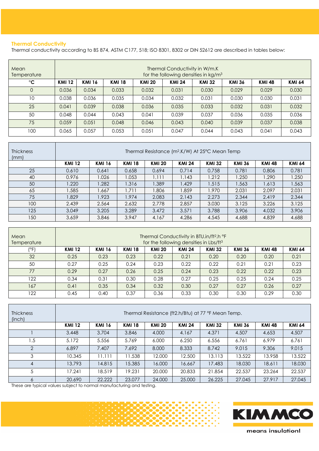# **Thermal Conductivity**

Thermal conductivity according to BS 874, ASTM C177, 518; ISO 8301, 8302 or DIN 52612 are described in tables below:

| Mean<br>Temperature | Thermal Conductivity in W/m.K<br>for the following densities in kg/m <sup>3</sup> |               |               |               |               |               |               |               |               |  |
|---------------------|-----------------------------------------------------------------------------------|---------------|---------------|---------------|---------------|---------------|---------------|---------------|---------------|--|
| $^{\circ}C$         | <b>KMI 12</b>                                                                     | <b>KMI 16</b> | <b>KMI 18</b> | <b>KMI 20</b> | <b>KMI 24</b> | <b>KMI 32</b> | <b>KMI 36</b> | <b>KMI 48</b> | <b>KMI 64</b> |  |
| $\Omega$            | 0.036                                                                             | 0.034         | 0.033         | 0.032         | 0.031         | 0.030         | 0.029         | 0.029         | 0.030         |  |
| 10                  | 0.038                                                                             | 0.036         | 0.035         | 0.034         | 0.032         | 0.031         | 0.030         | 0.030         | 0.031         |  |
| 25                  | 0.041                                                                             | 0.039         | 0.038         | 0.036         | 0.035         | 0.033         | 0.032         | 0.031         | 0.032         |  |
| 50                  | 0.048                                                                             | 0.044         | 0.043         | 0.041         | 0.039         | 0.037         | 0.036         | 0.035         | 0.036         |  |
| 75                  | 0.059                                                                             | 0.051         | 0.048         | 0.046         | 0.043         | 0.040         | 0.039         | 0.037         | 0.038         |  |
| 100                 | 0.065                                                                             | 0.057         | 0.053         | 0.051         | 0.047         | 0.044         | 0.043         | 0.041         | 0.043         |  |

| <b>Thickness</b><br>(mm) | Thermal Resistance (m <sup>2</sup> .K/W) At 25°C Mean Temp |               |               |               |               |               |               |               |        |  |  |
|--------------------------|------------------------------------------------------------|---------------|---------------|---------------|---------------|---------------|---------------|---------------|--------|--|--|
|                          | <b>KMI 12</b>                                              | <b>KMI 16</b> | <b>KMI 18</b> | <b>KMI 20</b> | <b>KMI 24</b> | <b>KMI 32</b> | <b>KMI 36</b> | <b>KMI 48</b> | KMI 64 |  |  |
| 25                       | 0.610                                                      | 0.641         | 0.658         | 0.694         | 0.714         | 0.758         | 0.781         | 0.806         | 0.781  |  |  |
| 40                       | 0.976                                                      | 1.026         | 1.053         | 1.111         | 1.143         | 1.212         | 1.250         | 1.290         | 1.250  |  |  |
| 50                       | .220                                                       | .282          | 1.316         | 1.389         | 1.429         | 1.515         | 1.563         | 1.613         | 1.563  |  |  |
| 65                       | .585                                                       | .667          | .711          | 806.          | 859.          | 1.970         | 2.031         | 2.097         | 2.031  |  |  |
| 75                       | .829                                                       | 1.923         | 1.974         | 2.083         | 2.143         | 2.273         | 2.344         | 2.419         | 2.344  |  |  |
| 100                      | 2.439                                                      | 2.564         | 2.632         | 2.778         | 2.857         | 3.030         | 3.125         | 3.226         | 3.125  |  |  |
| 125                      | 3.049                                                      | 3.205         | 3.289         | 3.472         | 3.571         | 3.788         | 3.906         | 4.032         | 3.906  |  |  |
| 150                      | 3.659                                                      | 3.846         | 3.947         | 4.167         | 4.286         | 4.545         | 4.688         | 4.839         | 4.688  |  |  |

| Mean<br>Temperature | Thermal Conductivity in BTU.in/ft <sup>2</sup> .h °F<br>for the following densities in Lbs/ft <sup>3</sup> |               |               |               |               |               |               |               |               |  |
|---------------------|------------------------------------------------------------------------------------------------------------|---------------|---------------|---------------|---------------|---------------|---------------|---------------|---------------|--|
| (°F)                | <b>KMI 12</b>                                                                                              | <b>KMI 16</b> | <b>KMI 18</b> | <b>KMI 20</b> | <b>KMI 24</b> | <b>KMI 32</b> | <b>KMI 36</b> | <b>KMI 48</b> | <b>KMI 64</b> |  |
| 32                  | 0.25                                                                                                       | 0.23          | 0.23          | 0.22          | 0.21          | 0.20          | 0.20          | 0.20          | 0.21          |  |
| 50                  | 0.27                                                                                                       | 0.25          | 0.24          | 0.23          | 0.22          | 0.22          | 0.21          | 0.21          | 0.23          |  |
| 77                  | 0.29                                                                                                       | 0.27          | 0.26          | 0.25          | 0.24          | 0.23          | 0.22          | 0.22          | 0.23          |  |
| 122                 | 0.34                                                                                                       | 0.31          | 0.30          | 0.28          | 0.27          | 0.25          | 0.25          | 0.24          | 0.25          |  |
| 167                 | 0.41                                                                                                       | 0.35          | 0.34          | 0.32          | 0.30          | 0.27          | 0.27          | 0.26          | 0.27          |  |
| 122                 | 0.45                                                                                                       | 0.40          | 0.37          | 0.36          | 0.33          | 0.30          | 0.30          | 0.29          | 0.30          |  |

| Thickness<br>(inch) | Thermal Resistance (ft2.h/Btu) at 77 °F Mean Temp. |               |               |               |               |               |               |               |               |  |  |
|---------------------|----------------------------------------------------|---------------|---------------|---------------|---------------|---------------|---------------|---------------|---------------|--|--|
|                     | <b>KMI 12</b>                                      | <b>KMI 16</b> | <b>KMI 18</b> | <b>KMI 20</b> | <b>KMI 24</b> | <b>KMI 32</b> | <b>KMI 36</b> | <b>KMI 48</b> | <b>KMI 64</b> |  |  |
|                     | 3.448                                              | 3.704         | 3.846         | 4.000         | 4.167         | 4.371         | 4.507         | 4.653         | 4.507         |  |  |
| 1.5                 | 5.172                                              | 5.556         | 5.769         | 6.000         | 6.250         | 6.556         | 6.761         | 6.979         | 6.761         |  |  |
| $\mathcal{P}$       | 6.897                                              | 7.407         | 7.692         | 8.000         | 8.333         | 8.742         | 9.015         | 9.306         | 9.015         |  |  |
| 3                   | 10.345                                             | 1.111         | 11.538        | 12.000        | 12.500        | 13.113        | 13.522        | 13.958        | 13.522        |  |  |
|                     | 13.793                                             | 14.815        | 15.385        | 16.000        | 16.667        | 17.483        | 18.030        | 18.611        | 18.030        |  |  |
|                     | 17.241                                             | 18.519        | 19.231        | 20,000        | 20.833        | 21.854        | 22.537        | 23.264        | 22.537        |  |  |
| Ô                   | 20.690                                             | 22.222        | 23.077        | 24.000        | 25.000        | 26.225        | 27.045        | 27.917        | 27.045        |  |  |

These are typical values subject to normal manufacturing and testing.



means insulation!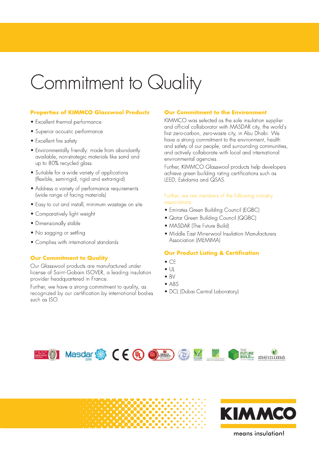# Commitment to Quality

# **Properties of KIMMCO Glasswool Products**

- Excellent thermal performance
- · Superior acoustic performance
- Excellent fire safety
- Environmentally friendly: made from abundantly available, non-strategic materials like sand and up to 80% recycled glass.
- Suitable for a wide variety of applications (flexible, semi-rigid, rigid and extra-rigid)
- Address a variety of performance requirements (wide range of facing materials)
- Easy to cut and install, minimum wastage on site
- Comparatively light weight
- Dimensionally stable
- No sagging or settling
- Complies with international standards

# **Our Commitment to Quality**

Our Glasswool products are manufactured under license of Saint-Gobain ISOVER, a leading insulation provider headquartered in France.

Further, we have a strong commitment to quality, as recognized by our certification by international bodies such as ISO.

# **Our Commitment to the Environment**

KIMMCO was selected as the sole insulation supplier and official collaborator with MASDAR city, the world's first zero-carbon, zero-waste city, in Abu Dhabi. We have a strong commitment to the environment, health and safety of our people, and surrounding communities, and actively collaborate with local and international environmental agencies.

Further, KIMMCO Glasswool products help developers achieve green building rating certifications such as LEED, Estidama and QSAS.

### Further, we are members of the following industry associations:

- Emirates Green Building Council (EGBC)
- Qatar Green Building Council (QGBC)
- MASDAR (The Future Build)
- Middle East Minerwool Insulation Manufacturers Association (MEMIMA)

# **Our Product Listing & Certification**

- $\bullet$  CF
- $\bullet$   $\downarrow$
- $\bullet$  BV
- $\bullet$  ABS
- DCL (Dubai Central Laboratory)